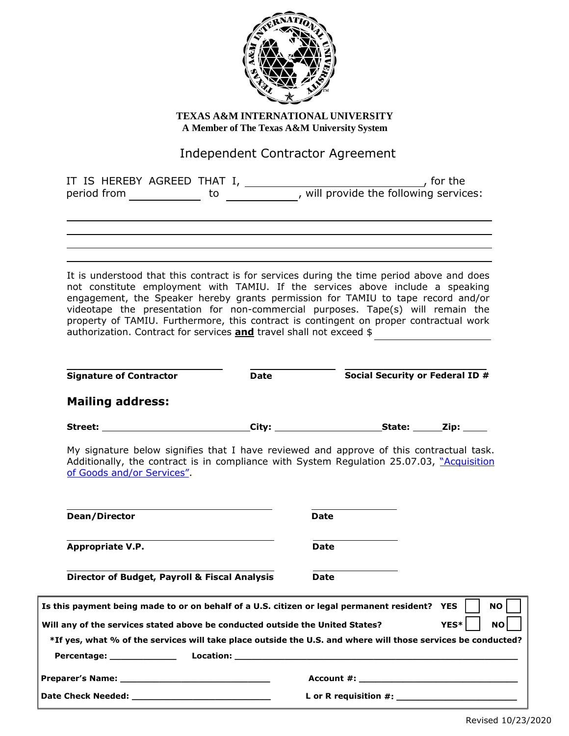

**TEXAS A&M INTERNATIONAL UNIVERSITY A Member of The Texas A&M University System**

## Independent Contractor Agreement

|                                                                                                                                                                                                                                                                                                                                                                                                                                                                                                                                                                                                                                                                              |             | IT IS HEREBY AGREED THAT I, ____________, will provide the following services:<br>period from _______________ to _____________, will provide the following services: | $\begin{array}{ccc} \hline \end{array}$ for the |
|------------------------------------------------------------------------------------------------------------------------------------------------------------------------------------------------------------------------------------------------------------------------------------------------------------------------------------------------------------------------------------------------------------------------------------------------------------------------------------------------------------------------------------------------------------------------------------------------------------------------------------------------------------------------------|-------------|----------------------------------------------------------------------------------------------------------------------------------------------------------------------|-------------------------------------------------|
|                                                                                                                                                                                                                                                                                                                                                                                                                                                                                                                                                                                                                                                                              |             |                                                                                                                                                                      |                                                 |
| It is understood that this contract is for services during the time period above and does<br>not constitute employment with TAMIU. If the services above include a speaking<br>engagement, the Speaker hereby grants permission for TAMIU to tape record and/or<br>videotape the presentation for non-commercial purposes. Tape(s) will remain the<br>property of TAMIU. Furthermore, this contract is contingent on proper contractual work<br>authorization. Contract for services and travel shall not exceed \$                                                                                                                                                          |             |                                                                                                                                                                      |                                                 |
| <b>Signature of Contractor</b>                                                                                                                                                                                                                                                                                                                                                                                                                                                                                                                                                                                                                                               | <b>Date</b> |                                                                                                                                                                      | Social Security or Federal ID #                 |
| <b>Mailing address:</b>                                                                                                                                                                                                                                                                                                                                                                                                                                                                                                                                                                                                                                                      |             |                                                                                                                                                                      |                                                 |
|                                                                                                                                                                                                                                                                                                                                                                                                                                                                                                                                                                                                                                                                              |             |                                                                                                                                                                      |                                                 |
|                                                                                                                                                                                                                                                                                                                                                                                                                                                                                                                                                                                                                                                                              |             |                                                                                                                                                                      |                                                 |
|                                                                                                                                                                                                                                                                                                                                                                                                                                                                                                                                                                                                                                                                              |             |                                                                                                                                                                      |                                                 |
|                                                                                                                                                                                                                                                                                                                                                                                                                                                                                                                                                                                                                                                                              |             | Date                                                                                                                                                                 |                                                 |
|                                                                                                                                                                                                                                                                                                                                                                                                                                                                                                                                                                                                                                                                              |             | <b>Date</b>                                                                                                                                                          |                                                 |
|                                                                                                                                                                                                                                                                                                                                                                                                                                                                                                                                                                                                                                                                              |             | Date                                                                                                                                                                 |                                                 |
|                                                                                                                                                                                                                                                                                                                                                                                                                                                                                                                                                                                                                                                                              |             |                                                                                                                                                                      | NO.<br>YES*<br><b>NO</b>                        |
| My signature below signifies that I have reviewed and approve of this contractual task.<br>Additionally, the contract is in compliance with System Regulation 25.07.03, "Acquisition<br>of Goods and/or Services".<br>Dean/Director<br>Appropriate V.P.<br><b>Director of Budget, Payroll &amp; Fiscal Analysis</b><br>Is this payment being made to or on behalf of a U.S. citizen or legal permanent resident? YES<br>Will any of the services stated above be conducted outside the United States?<br>*If yes, what % of the services will take place outside the U.S. and where will those services be conducted?<br>Percentage: <u>New York Barners and Percentage:</u> |             |                                                                                                                                                                      |                                                 |

**Date Check Needed: \_\_\_\_\_\_\_\_\_\_\_\_\_\_\_\_\_\_\_\_\_\_\_\_\_ L or R requisition #: \_\_\_\_\_\_\_\_\_\_\_\_\_\_\_\_\_\_\_\_\_\_**

Revised 10/23/2020